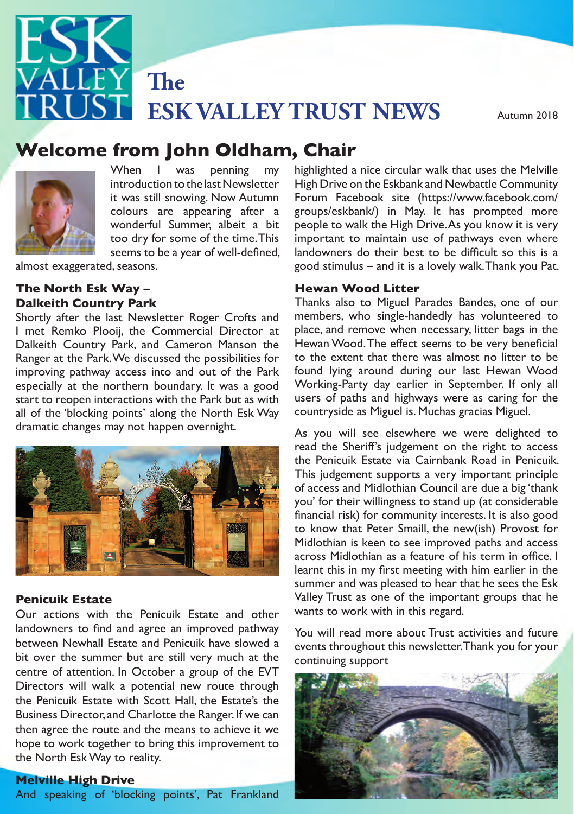

# Autumn 2013 **Welcome from John Oldham, Chair**



too dry for some of the time. This<br>seems to be a year of well-defined. When I was penning my introduction to the last Newsletter it was still snowing. Now Autumn colours are appearing after a wonderful Summer, albeit a bit seems to be a year of well-defined,

almost exaggerated, seasons.

### The North Esk Way – **The North Esk Way – 2013** Our remit to Care for the Esk valleys has meant that the Esk valleys has meant that the Esk valley  $\frac{1}{2}$  **Hewan** Wood Litter **Dalkeith Country Park**

especially at the northern boundary. It was a good dramatic changes may not happen overnight. As you will see elsewhere we were delighted to I met Remko Plooij, the Commercial Director at Dalkeith Country Park, and Cameron Manson the Ranger at the Park. We discussed the possibilities for improving pathway access into and out of the Park start to reopen interactions with the Park but as with all of the 'blocking points' along the North Esk Way



#### **Penicuik Estate**

bit over the summer but are still very much at the continuing support the Penicuik Estate with Scott Hall, the Estate's the then agree the route and the means to achieve it we<br>here to work to rether to him this improvement to Our actions with the Penicuik Estate and other landowners to find and agree an improved pathway between Newhall Estate and Penicuik have slowed a centre of attention. In October a group of the EVT Business Director, and Charlotte the Ranger. If we can hope to work together to bring this improvement to

#### **Melville High Drive**

And speaking of 'blocking points', Pat Frankland

highlighted a nice circular walk that uses the Melville High Drive on the Eskbank and Newbattle Community Forum Facebook site (https://www.facebook.com/ groups/eskbank/) in May. It has prompted more people to walk the High Drive. As you know it is very important to maintain use of pathways even where landowners do their best to be difficult so this is a good stimulus – and it is a lovely walk. Thank you Pat.

#### **Hewan Wood Litter**

**Dalkeith Country Park**<br>Shortly after the last Newsletter Roger Crofts and members, who single-handedly ha eith Country Park, and Cameron Manson the Hewan Wood. The effect seems to be very beneficial t the Park. We discussed the possibilities for the different that there was almost no litter to be<br>grathway access into and out of the Park found lying around during our last Hewan Wood rico reopen interactions with the Park but as with the servior paths and ingliways were as caring for the loss<br>f the 'blocking points' along the North Esk Way tountryside as Miguel is. Muchas gracias Miguel. Thanks also to Miguel Parades Bandes, one of our members, who single-handedly has volunteered to place, and remove when necessary, litter bags in the to the extent that there was almost no litter to be Working-Party day earlier in September. If only all users of paths and highways were as caring for the

This judgement supports a very important principle  $\frac{1}{2}$  financial risk) for community interests. It is also good activities with Midlothian Council, and other organisations. The new (ish) Provost for As you will see elsewhere we were delighted to read the Sheriff's judgement on the right to access the Penicuik Estate via Cairnbank Road in Penicuik. of access and Midlothian Council are due a big 'thank you' for their willingness to stand up (at considerable Midlothian is keen to see improved paths and access across Midlothian as a feature of his term in office. I summer and was pleased to hear that he sees the Esk Valley Trust as one of the important groups that he wants to work with in this regard.

> You will read more about Trust activities and future events throughout this newsletter. Thank you for your continuing support

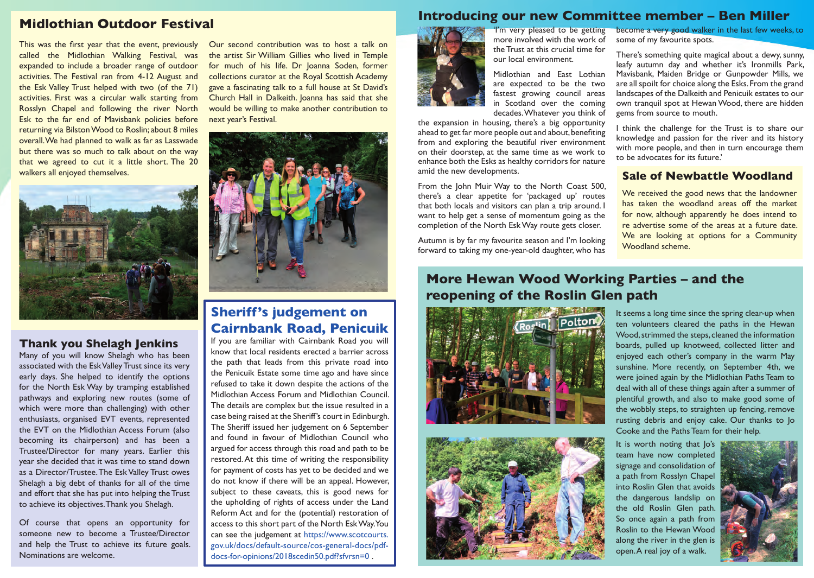### **Midlothian Outdoor Festival**

This was the first year that the event, previously called the Midlothian Walking Festival, was expanded to include a broader range of outdoor activities. The Festival ran from 4-12 August and the Esk Valley Trust helped with two (of the 71) activities. First was a circular walk starting from Rosslyn Chapel and following the river North Esk to the far end of Mavisbank policies before returning via Bilston Wood to Roslin; about 8 miles overall. We had planned to walk as far as Lasswade but there was so much to talk about on the way that we agreed to cut it a little short. The 20 walkers all enjoyed themselves.



### **Thank you Shelagh Jenkins**

Many of you will know Shelagh who has been associated with the Esk Valley Trust since its very early days. She helped to identify the options for the North Esk Way by tramping established pathways and exploring new routes (some of which were more than challenging) with other enthusiasts, organised EVT events, represented the EVT on the Midlothian Access Forum (also becoming its chairperson) and has been a Trustee/Director for many years. Earlier this year she decided that it was time to stand down as a Director/Trustee. The Esk Valley Trust owes Shelagh a big debt of thanks for all of the time and effort that she has put into helping the Trust to achieve its objectives. Thank you Shelagh.

Of course that opens an opportunity for someone new to become a Trustee/Director and help the Trust to achieve its future goals. Nominations are welcome.

Our second contribution was to host a talk on the artist Sir William Gillies who lived in Temple for much of his life. Dr Joanna Soden, former collections curator at the Royal Scottish Academy gave a fascinating talk to a full house at St David's Church Hall in Dalkeith. Joanna has said that she would be willing to make another contribution to next year's Festival.



### **Sheriff's judgement on Cairnbank Road, Penicuik**

If you are familiar with Cairnbank Road you will know that local residents erected a barrier across the path that leads from this private road into the Penicuik Estate some time ago and have since refused to take it down despite the actions of the Midlothian Access Forum and Midlothian Council. The details are complex but the issue resulted in a case being raised at the Sheriff's court in Edinburgh. The Sheriff issued her judgement on 6 September and found in favour of Midlothian Council who argued for access through this road and path to be restored. At this time of writing the responsibility for payment of costs has yet to be decided and we do not know if there will be an appeal. However, subject to these caveats, this is good news for the upholding of rights of access under the Land Reform Act and for the (potential) restoration of access to this short part of the North Esk Way. You can see the judgement at https://www.scotcourts. gov.uk/docs/default-source/cos-general-docs/pdfdocs-for-opinions/2018scedin50.pdf?sfvrsn=0 .

### **Introducing our new Committee member – Ben Miller**



'I'm very pleased to be getting more involved with the work of the Trust at this crucial time for our local environment.

Midlothian and East Lothian are expected to be the two fastest growing council areas in Scotland over the coming decades. Whatever you think of

the expansion in housing, there's a big opportunity ahead to get far more people out and about, benefiting from and exploring the beautiful river environment on their doorstep, at the same time as we work to enhance both the Esks as healthy corridors for nature amid the new developments.

From the John Muir Way to the North Coast 500, there's a clear appetite for 'packaged up' routes that both locals and visitors can plan a trip around. I want to help get a sense of momentum going as the completion of the North Esk Way route gets closer.

Autumn is by far my favourite season and I'm looking forward to taking my one-year-old daughter, who has

# **More Hewan Wood Working Parties – and the reopening of the Roslin Glen path**





It seems a long time since the spring clear-up when ten volunteers cleared the paths in the Hewan Wood, strimmed the steps, cleaned the information boards, pulled up knotweed, collected litter and enjoyed each other's company in the warm May sunshine. More recently, on September 4th, we were joined again by the Midlothian Paths Team to deal with all of these things again after a summer of plentiful growth, and also to make good some of the wobbly steps, to straighten up fencing, remove rusting debris and enjoy cake. Our thanks to Jo Cooke and the Paths Team for their help.

become a very good walker in the last few weeks, to

There's something quite magical about a dewy, sunny, leafy autumn day and whether it's Ironmills Park, Mavisbank, Maiden Bridge or Gunpowder Mills, we are all spoilt for choice along the Esks. From the grand landscapes of the Dalkeith and Penicuik estates to our own tranquil spot at Hewan Wood, there are hidden

I think the challenge for the Trust is to share our knowledge and passion for the river and its history with more people, and then in turn encourage them

**Sale of Newbattle Woodland** We received the good news that the landowner has taken the woodland areas off the market for now, although apparently he does intend to re advertise some of the areas at a future date. We are looking at options for a Community

some of my favourite spots.

gems from source to mouth.

to be advocates for its future.'

Woodland scheme.

It is worth noting that Jo's team have now completed signage and consolidation of a path from Rosslyn Chapel into Roslin Glen that avoids the dangerous landslip on the old Roslin Glen path. So once again a path from Roslin to the Hewan Wood along the river in the glen is open. A real joy of a walk.